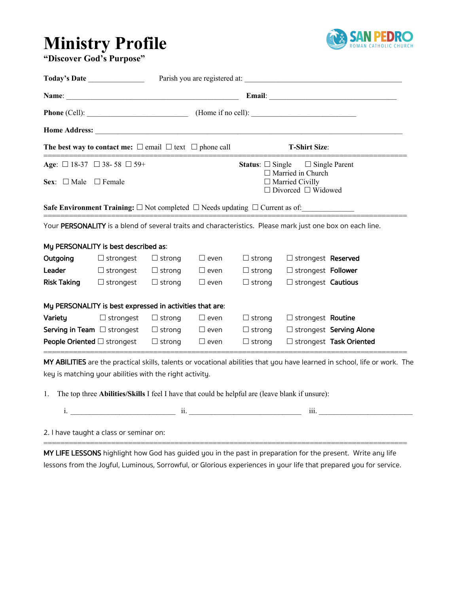## **Ministry Profile "Discover God's Purpose"**



|                                                                                 | Today's Date                                                                                         |               |                |                                                                                      |                                                   |                                                                                                           |  |
|---------------------------------------------------------------------------------|------------------------------------------------------------------------------------------------------|---------------|----------------|--------------------------------------------------------------------------------------|---------------------------------------------------|-----------------------------------------------------------------------------------------------------------|--|
|                                                                                 |                                                                                                      |               |                |                                                                                      |                                                   |                                                                                                           |  |
|                                                                                 |                                                                                                      |               |                |                                                                                      |                                                   |                                                                                                           |  |
|                                                                                 |                                                                                                      |               |                |                                                                                      |                                                   |                                                                                                           |  |
| The best way to contact me: $\square$ email $\square$ text $\square$ phone call |                                                                                                      |               |                | <b>T-Shirt Size:</b>                                                                 |                                                   |                                                                                                           |  |
| Age: $\Box$ 18-37 $\Box$ 38-58 $\Box$ 59+                                       |                                                                                                      |               |                |                                                                                      | <b>Status:</b> $\Box$ Single $\Box$ Single Parent |                                                                                                           |  |
| Sex: $\Box$ Male $\Box$ Female                                                  |                                                                                                      |               |                | $\Box$ Married in Church<br>$\Box$ Married Civilly<br>$\Box$ Divorced $\Box$ Widowed |                                                   |                                                                                                           |  |
|                                                                                 |                                                                                                      |               |                |                                                                                      |                                                   |                                                                                                           |  |
|                                                                                 | Safe Environment Training: $\square$ Not completed $\square$ Needs updating $\square$ Current as of: |               |                |                                                                                      |                                                   |                                                                                                           |  |
|                                                                                 |                                                                                                      |               |                |                                                                                      |                                                   | Your PERSONALITY is a blend of several traits and characteristics. Please mark just one box on each line. |  |
|                                                                                 | My PERSONALITY is best described as:                                                                 |               |                |                                                                                      |                                                   |                                                                                                           |  |
|                                                                                 | $\Box$ strongest $\Box$ strong                                                                       |               | $\square$ even | $\Box$ strong                                                                        | □ strongest Reserved                              |                                                                                                           |  |
|                                                                                 | <b>Leader</b> $\Box$ strongest $\Box$ strong $\Box$ even                                             |               |                | $\Box$ strong                                                                        | □ strongest Follower                              |                                                                                                           |  |
| Outgoing                                                                        | Risk Taking $\Box$ strongest $\Box$ strong                                                           |               | $\square$ even | $\Box$ strong                                                                        | $\Box$ strongest Cautious                         |                                                                                                           |  |
|                                                                                 | My PERSONALITY is best expressed in activities that are:                                             |               |                |                                                                                      |                                                   |                                                                                                           |  |
| Variety                                                                         | $\Box$ strongest                                                                                     | $\Box$ strong | $\square$ even | $\Box$ strong                                                                        | □ strongest Routine                               |                                                                                                           |  |
|                                                                                 | <b>Serving in Team</b> $\Box$ strongest $\Box$ strong $\Box$ even                                    |               |                | $\Box$ strong                                                                        |                                                   | □ strongest Serving Alone                                                                                 |  |

key is matching your abilities with the right activity.

1. The top three **Abilities/Skills** I feel I have that could be helpful are (leave blank if unsure):

|  | . |
|--|---|
|  |   |

2. I have taught a class or seminar on:

MY LIFE LESSONS highlight how God has guided you in the past in preparation for the present. Write any life lessons from the Joyful, Luminous, Sorrowful, or Glorious experiences in your life that prepared you for service.

======================================================================================